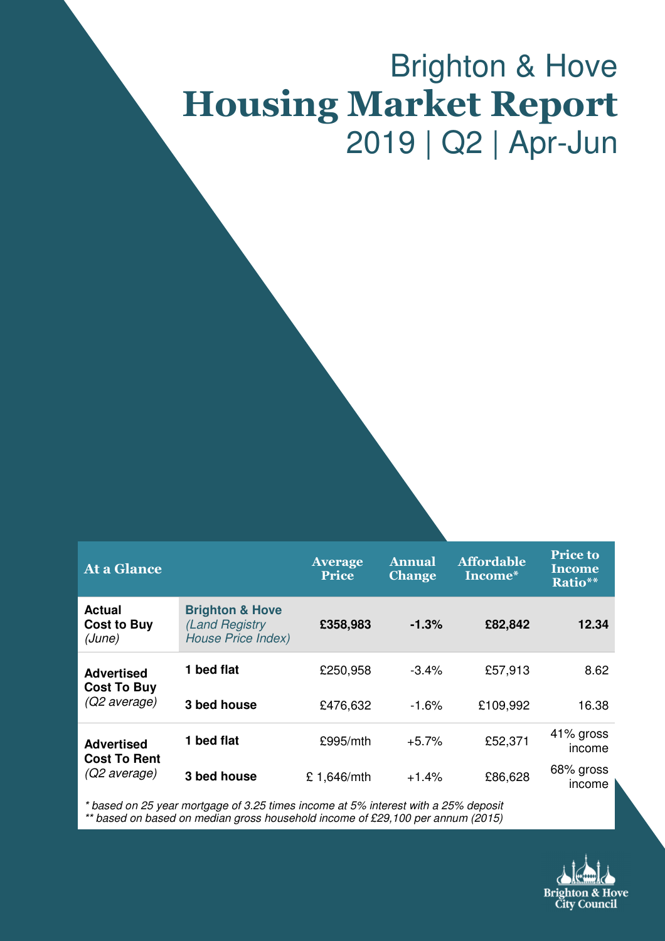# Brighton & Hove Housing Market Report 2019 | Q2 | Apr-Jun

| <b>At a Glance</b>                            |                                                                           | <b>Average</b><br><b>Price</b> | <b>Annual</b><br><b>Change</b> | <b>Affordable</b><br>Income* | <b>Price to</b><br><b>Income</b><br>Ratio** |
|-----------------------------------------------|---------------------------------------------------------------------------|--------------------------------|--------------------------------|------------------------------|---------------------------------------------|
| <b>Actual</b><br><b>Cost to Buy</b><br>(June) | <b>Brighton &amp; Hove</b><br>(Land Registry<br><b>House Price Index)</b> | £358,983                       | $-1.3%$                        | £82,842                      | 12.34                                       |
| <b>Advertised</b><br><b>Cost To Buy</b>       | 1 bed flat                                                                | £250,958                       | $-3.4%$                        | £57,913                      | 8.62                                        |
| (Q2 average)                                  | 3 bed house                                                               | £476,632                       | $-1.6%$                        | £109,992                     | 16.38                                       |
| <b>Advertised</b>                             | 1 bed flat                                                                | £995/mth                       | $+5.7%$                        | £52,371                      | 41% gross<br>income                         |
| <b>Cost To Rent</b><br>(Q2 average)           | 3 bed house                                                               | £1,646/mth                     | $+1.4%$                        | £86,628                      | 68% gross<br>income                         |

\* based on 25 year mortgage of 3.25 times income at 5% interest with a 25% deposit \*\* based on based on median gross household income of £29,100 per annum (2015)

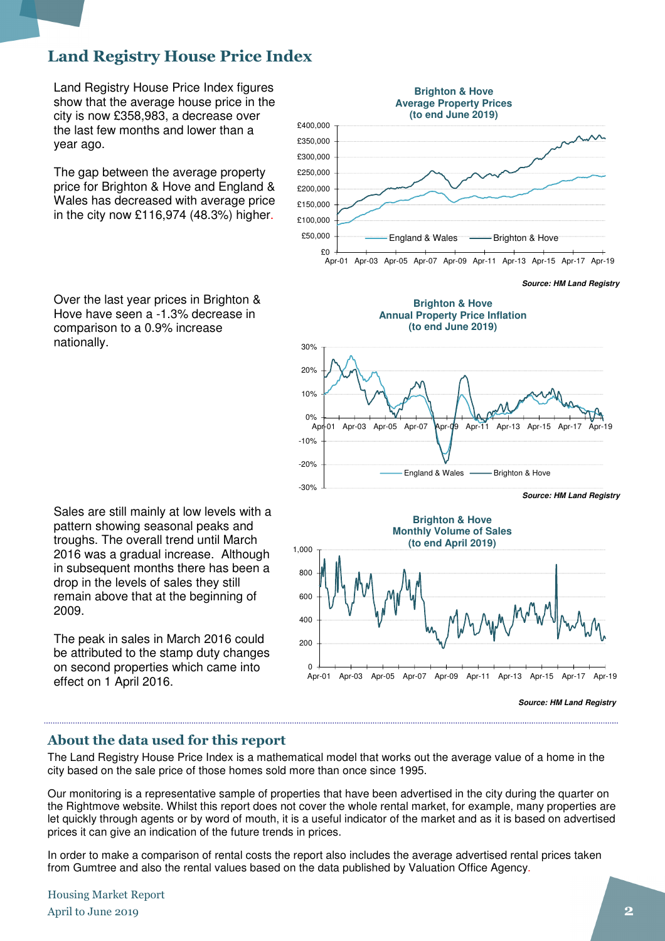### Land Registry House Price Index

Land Registry House Price Index figures show that the average house price in the city is now £358,983, a decrease over the last few months and lower than a year ago.

The gap between the average property price for Brighton & Hove and England & Wales has decreased with average price in the city now £116,974 (48.3%) higher.

Over the last year prices in Brighton & Hove have seen a -1.3% decrease in comparison to a 0.9% increase nationally.

Sales are still mainly at low levels with a pattern showing seasonal peaks and troughs. The overall trend until March 2016 was a gradual increase. Although in subsequent months there has been a drop in the levels of sales they still remain above that at the beginning of 2009.

The peak in sales in March 2016 could be attributed to the stamp duty changes on second properties which came into effect on 1 April 2016.



**Source: HM Land Registry**



**Source: HM Land Registry**

#### About the data used for this report

The Land Registry House Price Index is a mathematical model that works out the average value of a home in the city based on the sale price of those homes sold more than once since 1995.

Our monitoring is a representative sample of properties that have been advertised in the city during the quarter on the Rightmove website. Whilst this report does not cover the whole rental market, for example, many properties are let quickly through agents or by word of mouth, it is a useful indicator of the market and as it is based on advertised prices it can give an indication of the future trends in prices.

In order to make a comparison of rental costs the report also includes the average advertised rental prices taken from Gumtree and also the rental values based on the data published by Valuation Office Agency.

Housing Market Report April to June 2019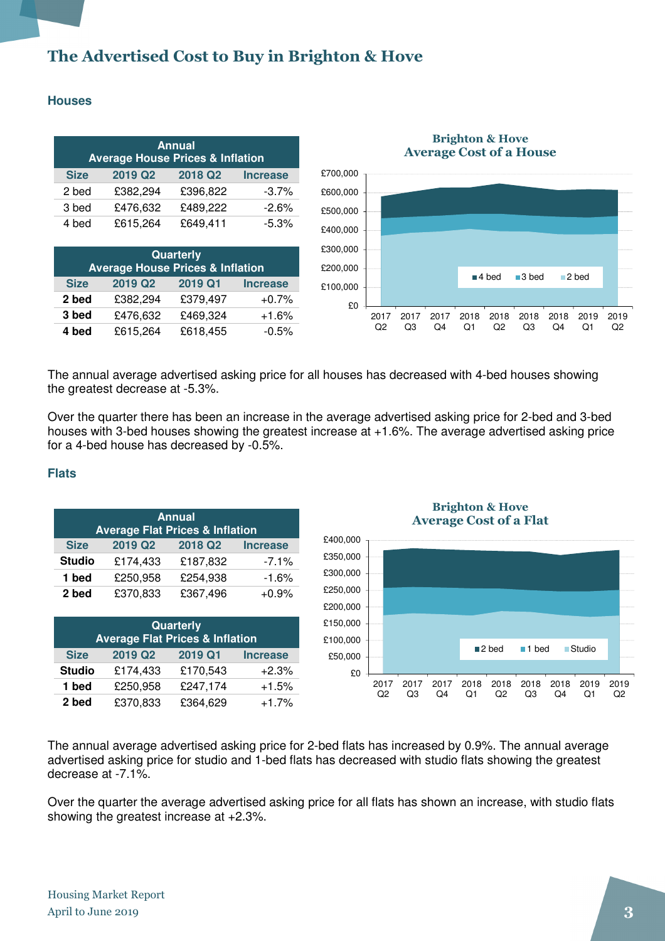### The Advertised Cost to Buy in Brighton & Hove

#### **Houses**

| <b>Annual</b><br><b>Average House Prices &amp; Inflation</b> |          |          |                 |  |
|--------------------------------------------------------------|----------|----------|-----------------|--|
| <b>Size</b>                                                  | 2019 Q2  | 2018 Q2  | <b>Increase</b> |  |
| 2 bed                                                        | £382,294 | £396,822 | $-3.7\%$        |  |
| 3 bed                                                        | £476,632 | £489,222 | $-2.6%$         |  |
| 4 bed                                                        | £615,264 | £649,411 | $-5.3%$         |  |

| <b>Quarterly</b><br><b>Average House Prices &amp; Inflation</b> |          |          |                 |  |
|-----------------------------------------------------------------|----------|----------|-----------------|--|
| <b>Size</b>                                                     | 2019 Q2  | 2019 Q1  | <b>Increase</b> |  |
| 2 bed                                                           | £382,294 | £379,497 | $+0.7%$         |  |
| 3 bed                                                           | £476,632 | £469,324 | $+1.6%$         |  |
| 4 bed                                                           | £615,264 | £618,455 | $-0.5%$         |  |



# The annual average advertised asking price for all houses has decreased with 4-bed houses showing

the greatest decrease at -5.3%.

Over the quarter there has been an increase in the average advertised asking price for 2-bed and 3-bed houses with 3-bed houses showing the greatest increase at +1.6%. The average advertised asking price for a 4-bed house has decreased by -0.5%.

£400,000

#### **Flats**

| <b>Annual</b><br><b>Average Flat Prices &amp; Inflation</b> |          |          |                 |  |
|-------------------------------------------------------------|----------|----------|-----------------|--|
| <b>Size</b>                                                 | 2019 Q2  | 2018 Q2  | <b>Increase</b> |  |
| <b>Studio</b>                                               | £174,433 | £187,832 | $-7.1%$         |  |
| 1 bed                                                       | £250,958 | £254,938 | $-1.6%$         |  |
| 2 bed                                                       | £370,833 | £367,496 | $+0.9%$         |  |

| Quarterly<br><b>Average Flat Prices &amp; Inflation</b> |          |          |                 |  |
|---------------------------------------------------------|----------|----------|-----------------|--|
| <b>Size</b>                                             | 2019 Q2  | 2019 Q1  | <b>Increase</b> |  |
| <b>Studio</b>                                           | £174,433 | £170,543 | $+2.3%$         |  |
| 1 bed                                                   | £250,958 | £247,174 | $+1.5%$         |  |
| 2 bed                                                   | £370,833 | £364,629 | $+1.7%$         |  |

Brighton & Hove Average Cost of a Flat



The annual average advertised asking price for 2-bed flats has increased by 0.9%. The annual average advertised asking price for studio and 1-bed flats has decreased with studio flats showing the greatest decrease at -7.1%.

Over the quarter the average advertised asking price for all flats has shown an increase, with studio flats showing the greatest increase at +2.3%.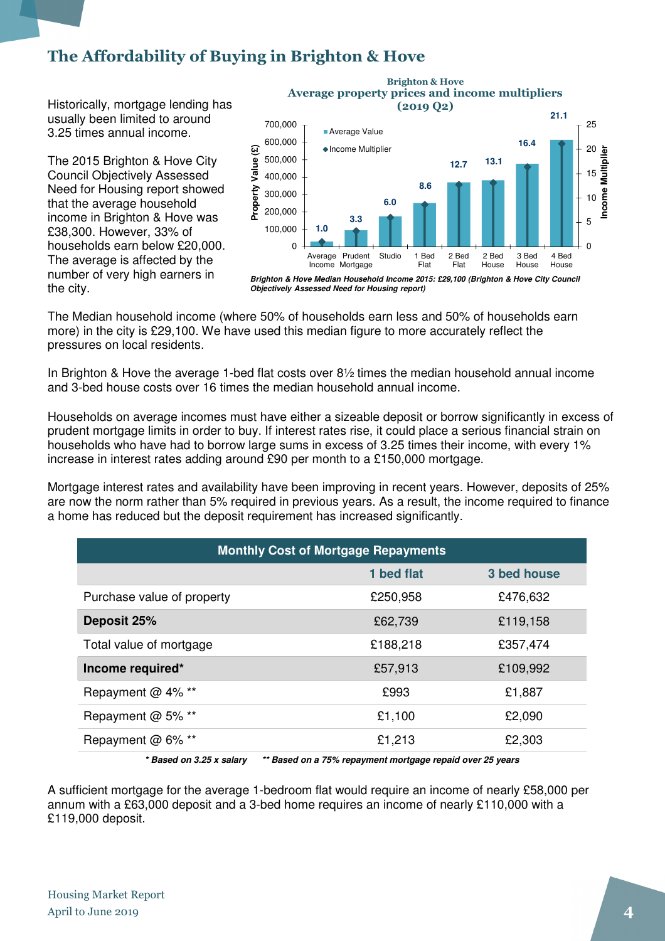## The Affordability of Buying in Brighton & Hove

Historically, mortgage lending has usually been limited to around 3.25 times annual income.

The 2015 Brighton & Hove City Council Objectively Assessed Need for Housing report showed that the average household income in Brighton & Hove was £38,300. However, 33% of households earn below £20,000. The average is affected by the number of very high earners in the city.



Brighton & Hove

**Brighton & Hove Median Household Income 2015: £29,100 (Brighton & Hove City Council Objectively Assessed Need for Housing report)**

The Median household income (where 50% of households earn less and 50% of households earn more) in the city is £29,100. We have used this median figure to more accurately reflect the pressures on local residents.

In Brighton & Hove the average 1-bed flat costs over 8½ times the median household annual income and 3-bed house costs over 16 times the median household annual income.

Households on average incomes must have either a sizeable deposit or borrow significantly in excess of prudent mortgage limits in order to buy. If interest rates rise, it could place a serious financial strain on households who have had to borrow large sums in excess of 3.25 times their income, with every 1% increase in interest rates adding around £90 per month to a £150,000 mortgage.

Mortgage interest rates and availability have been improving in recent years. However, deposits of 25% are now the norm rather than 5% required in previous years. As a result, the income required to finance a home has reduced but the deposit requirement has increased significantly.

| <b>Monthly Cost of Mortgage Repayments</b> |            |             |  |  |
|--------------------------------------------|------------|-------------|--|--|
|                                            | 1 bed flat | 3 bed house |  |  |
| Purchase value of property                 | £250,958   | £476,632    |  |  |
| Deposit 25%                                | £62,739    | £119,158    |  |  |
| Total value of mortgage                    | £188,218   | £357,474    |  |  |
| Income required*                           | £57,913    | £109,992    |  |  |
| Repayment @ 4% **                          | £993       | £1,887      |  |  |
| Repayment @ 5% **                          | £1,100     | £2,090      |  |  |
| Repayment @ 6% **                          | £1,213     | £2,303      |  |  |

**\* Based on 3.25 x salary \*\* Based on a 75% repayment mortgage repaid over 25 years** 

A sufficient mortgage for the average 1-bedroom flat would require an income of nearly £58,000 per annum with a £63,000 deposit and a 3-bed home requires an income of nearly £110,000 with a £119,000 deposit.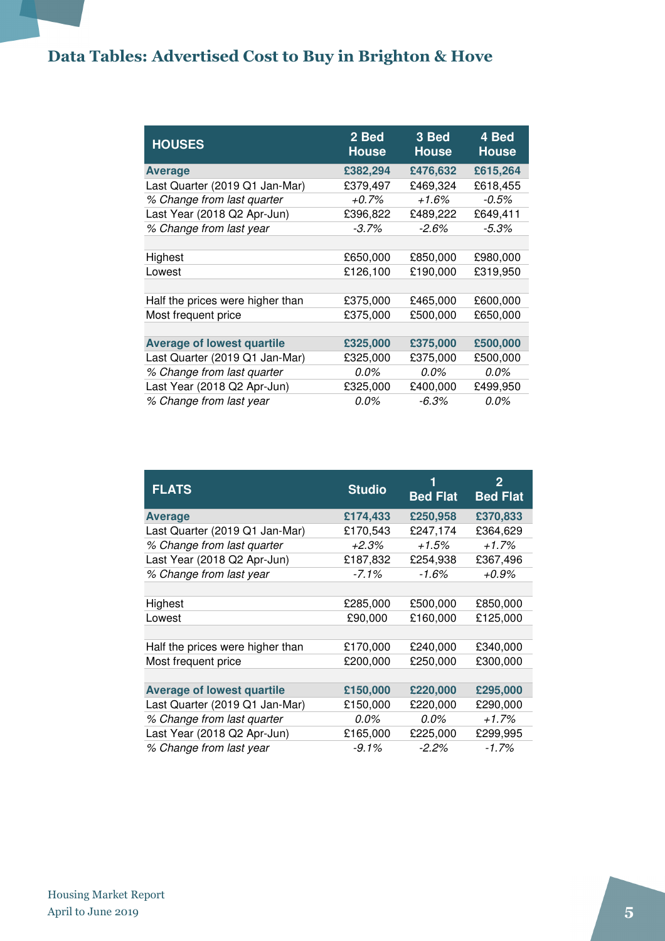## Data Tables: Advertised Cost to Buy in Brighton & Hove

| <b>HOUSES</b>                     | 2 Bed<br><b>House</b> | 3 Bed<br><b>House</b> | 4 Bed<br><b>House</b> |
|-----------------------------------|-----------------------|-----------------------|-----------------------|
| <b>Average</b>                    | £382,294              | £476,632              | £615,264              |
| Last Quarter (2019 Q1 Jan-Mar)    | £379,497              | £469,324              | £618,455              |
| % Change from last quarter        | +0.7%                 | +1.6%                 | $-0.5%$               |
| Last Year (2018 Q2 Apr-Jun)       | £396,822              | £489,222              | £649,411              |
| % Change from last year           | $-3.7\%$              | $-2.6%$               | $-5.3%$               |
|                                   |                       |                       |                       |
| Highest                           | £650,000              | £850,000              | £980,000              |
| Lowest                            | £126,100              | £190,000              | £319,950              |
|                                   |                       |                       |                       |
| Half the prices were higher than  | £375,000              | £465,000              | £600,000              |
| Most frequent price               | £375,000              | £500,000              | £650,000              |
|                                   |                       |                       |                       |
| <b>Average of lowest quartile</b> | £325,000              | £375,000              | £500,000              |
| Last Quarter (2019 Q1 Jan-Mar)    | £325,000              | £375,000              | £500,000              |
| % Change from last quarter        | 0.0%                  | $0.0\%$               | 0.0%                  |
| Last Year (2018 Q2 Apr-Jun)       | £325,000              | £400,000              | £499,950              |
| % Change from last year           | $0.0\%$               | $-6.3\%$              | $0.0\%$               |

| <b>FLATS</b>                      | <b>Studio</b> | 1<br><b>Bed Flat</b> | 2<br><b>Bed Flat</b> |
|-----------------------------------|---------------|----------------------|----------------------|
| <b>Average</b>                    | £174,433      | £250,958             | £370,833             |
| Last Quarter (2019 Q1 Jan-Mar)    | £170,543      | £247,174             | £364,629             |
| % Change from last quarter        | +2.3%         | +1.5%                | $+1.7%$              |
| Last Year (2018 Q2 Apr-Jun)       | £187,832      | £254,938             | £367,496             |
| % Change from last year           | $-7.1\%$      | $-1.6%$              | +0.9%                |
|                                   |               |                      |                      |
| Highest                           | £285,000      | £500,000             | £850,000             |
| Lowest                            | £90,000       | £160,000             | £125,000             |
|                                   |               |                      |                      |
| Half the prices were higher than  | £170,000      | £240,000             | £340,000             |
| Most frequent price               | £200,000      | £250,000             | £300,000             |
|                                   |               |                      |                      |
| <b>Average of lowest quartile</b> | £150,000      | £220,000             | £295,000             |
| Last Quarter (2019 Q1 Jan-Mar)    | £150,000      | £220,000             | £290,000             |
| % Change from last quarter        | $0.0\%$       | $0.0\%$              | $+1.7%$              |
| Last Year (2018 Q2 Apr-Jun)       | £165,000      | £225,000             | £299,995             |
| % Change from last year           | -9.1%         | $-2.2\%$             | $-1.7\%$             |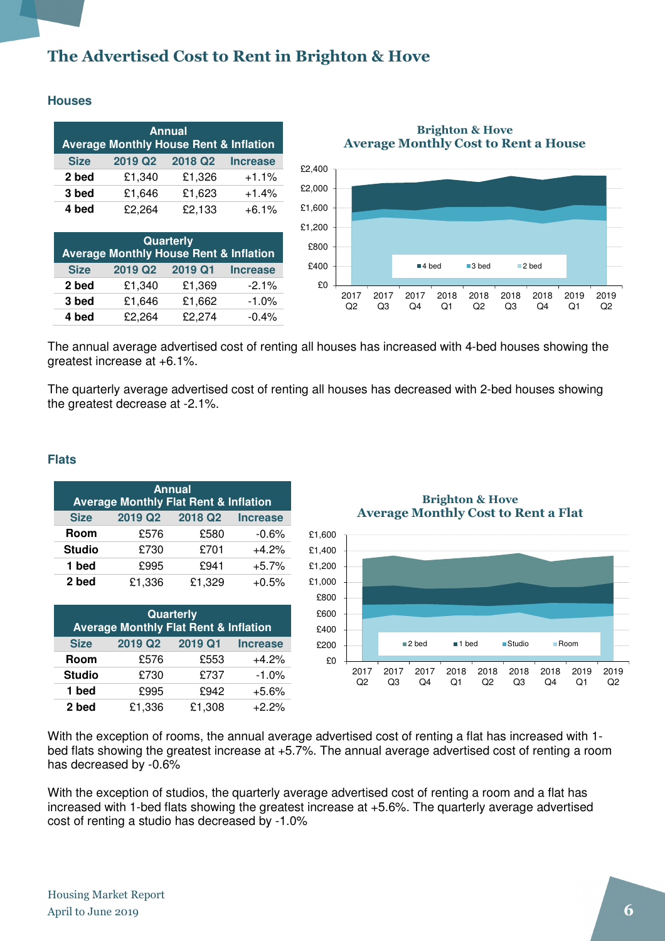### The Advertised Cost to Rent in Brighton & Hove

#### **Houses**

| <b>Annual</b><br><b>Average Monthly House Rent &amp; Inflation</b> |                     |                     |                 |  |
|--------------------------------------------------------------------|---------------------|---------------------|-----------------|--|
| <b>Size</b>                                                        | 2019 Q <sub>2</sub> | 2018 Q <sub>2</sub> | <b>Increase</b> |  |
| 2 bed                                                              | £1,340              | £1,326              | $+1.1%$         |  |
| 3 bed                                                              | £1,646              | £1,623              | $+1.4%$         |  |
| 4 bed                                                              | £2,264              | £2,133              | $+6.1%$         |  |

| <b>Quarterly</b><br><b>Average Monthly House Rent &amp; Inflation</b> |         |         |                 |  |
|-----------------------------------------------------------------------|---------|---------|-----------------|--|
| <b>Size</b>                                                           | 2019 Q2 | 2019 Q1 | <b>Increase</b> |  |
| 2 bed                                                                 | £1,340  | £1,369  | $-2.1%$         |  |
| 3 bed                                                                 | £1,646  | £1,662  | $-1.0%$         |  |
| 4 bed                                                                 | £2,264  | £2,274  | $-0.4%$         |  |

Brighton & Hove Average Monthly Cost to Rent a House



The annual average advertised cost of renting all houses has increased with 4-bed houses showing the greatest increase at +6.1%.

The quarterly average advertised cost of renting all houses has decreased with 2-bed houses showing the greatest decrease at -2.1%.

#### **Flats**

| <b>Annual</b>                                    |         |         |                 |  |  |
|--------------------------------------------------|---------|---------|-----------------|--|--|
| <b>Average Monthly Flat Rent &amp; Inflation</b> |         |         |                 |  |  |
| <b>Size</b>                                      | 2019 Q2 | 2018 Q2 | <b>Increase</b> |  |  |
| Room                                             | £576    | £580    | $-0.6%$         |  |  |
| <b>Studio</b>                                    | £730    | £701    | $+4.2%$         |  |  |
| 1 bed                                            | £995    | £941    | $+5.7%$         |  |  |
| 2 bed                                            | £1,336  | £1,329  | $+0.5%$         |  |  |

| Quarterly<br><b>Average Monthly Flat Rent &amp; Inflation</b> |         |         |                 |  |  |
|---------------------------------------------------------------|---------|---------|-----------------|--|--|
| <b>Size</b>                                                   | 2019 Q2 | 2019 Q1 | <b>Increase</b> |  |  |
| Room                                                          | £576    | £553    | $+4.2%$         |  |  |
| <b>Studio</b>                                                 | £730    | £737    | $-1.0%$         |  |  |
| 1 bed                                                         | £995    | £942    | $+5.6%$         |  |  |
| 2 bed                                                         | £1,336  | £1,308  | $+2.2%$         |  |  |

Brighton & Hove Average Monthly Cost to Rent a Flat



With the exception of rooms, the annual average advertised cost of renting a flat has increased with 1 bed flats showing the greatest increase at +5.7%. The annual average advertised cost of renting a room has decreased by -0.6%

With the exception of studios, the quarterly average advertised cost of renting a room and a flat has increased with 1-bed flats showing the greatest increase at +5.6%. The quarterly average advertised cost of renting a studio has decreased by -1.0%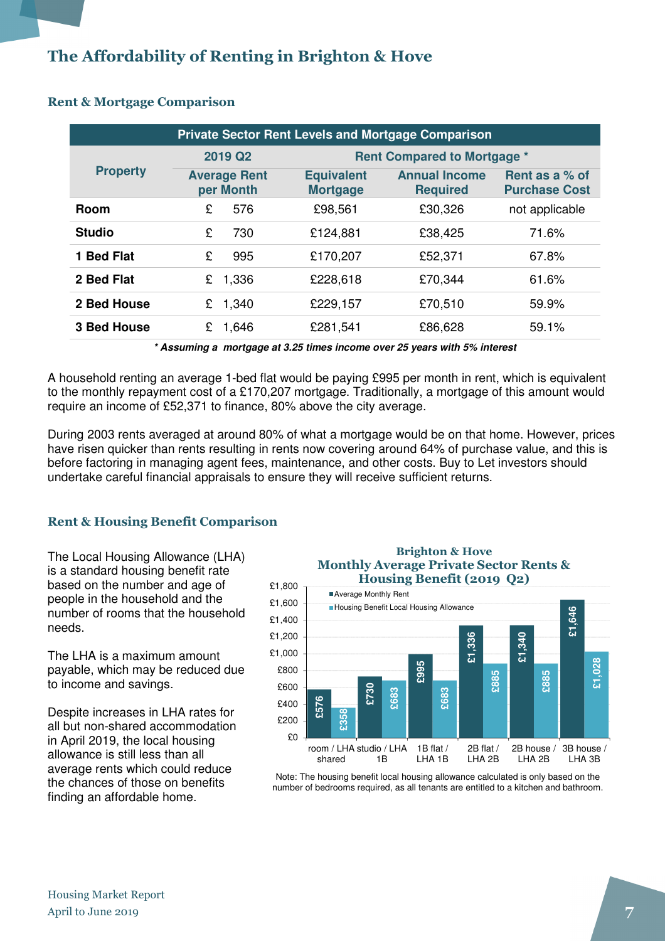## The Affordability of Renting in Brighton & Hove

| <b>Private Sector Rent Levels and Mortgage Comparison</b> |   |                                  |                                      |                                         |                                        |  |  |  |
|-----------------------------------------------------------|---|----------------------------------|--------------------------------------|-----------------------------------------|----------------------------------------|--|--|--|
|                                                           |   | 2019 Q <sub>2</sub>              |                                      | <b>Rent Compared to Mortgage *</b>      |                                        |  |  |  |
| <b>Property</b>                                           |   | <b>Average Rent</b><br>per Month | <b>Equivalent</b><br><b>Mortgage</b> | <b>Annual Income</b><br><b>Required</b> | Rent as a % of<br><b>Purchase Cost</b> |  |  |  |
| <b>Room</b>                                               | £ | 576                              | £98,561                              | £30,326                                 | not applicable                         |  |  |  |
| <b>Studio</b>                                             | £ | 730                              | £124,881                             | £38,425                                 | 71.6%                                  |  |  |  |
| 1 Bed Flat                                                | £ | 995                              | £170,207                             | £52,371                                 | 67.8%                                  |  |  |  |
| 2 Bed Flat                                                | £ | 1,336                            | £228,618                             | £70,344                                 | 61.6%                                  |  |  |  |
| 2 Bed House                                               | £ | 1,340                            | £229,157                             | £70,510                                 | 59.9%                                  |  |  |  |
| <b>3 Bed House</b>                                        | £ | 1,646                            | £281,541                             | £86,628                                 | 59.1%                                  |  |  |  |

#### Rent & Mortgage Comparison

**\* Assuming a mortgage at 3.25 times income over 25 years with 5% interest** 

A household renting an average 1-bed flat would be paying £995 per month in rent, which is equivalent to the monthly repayment cost of a £170,207 mortgage. Traditionally, a mortgage of this amount would require an income of £52,371 to finance, 80% above the city average.

During 2003 rents averaged at around 80% of what a mortgage would be on that home. However, prices have risen quicker than rents resulting in rents now covering around 64% of purchase value, and this is before factoring in managing agent fees, maintenance, and other costs. Buy to Let investors should undertake careful financial appraisals to ensure they will receive sufficient returns.

#### Rent & Housing Benefit Comparison

The Local Housing Allowance (LHA) is a standard housing benefit rate based on the number and age of people in the household and the number of rooms that the household needs.

The LHA is a maximum amount payable, which may be reduced due to income and savings.

Despite increases in LHA rates for all but non-shared accommodation in April 2019, the local housing allowance is still less than all average rents which could reduce the chances of those on benefits finding an affordable home.

#### Brighton & Hove Monthly Average Private Sector Rents & Housing Benefit (2019 Q2)



Note: The housing benefit local housing allowance calculated is only based on the number of bedrooms required, as all tenants are entitled to a kitchen and bathroom.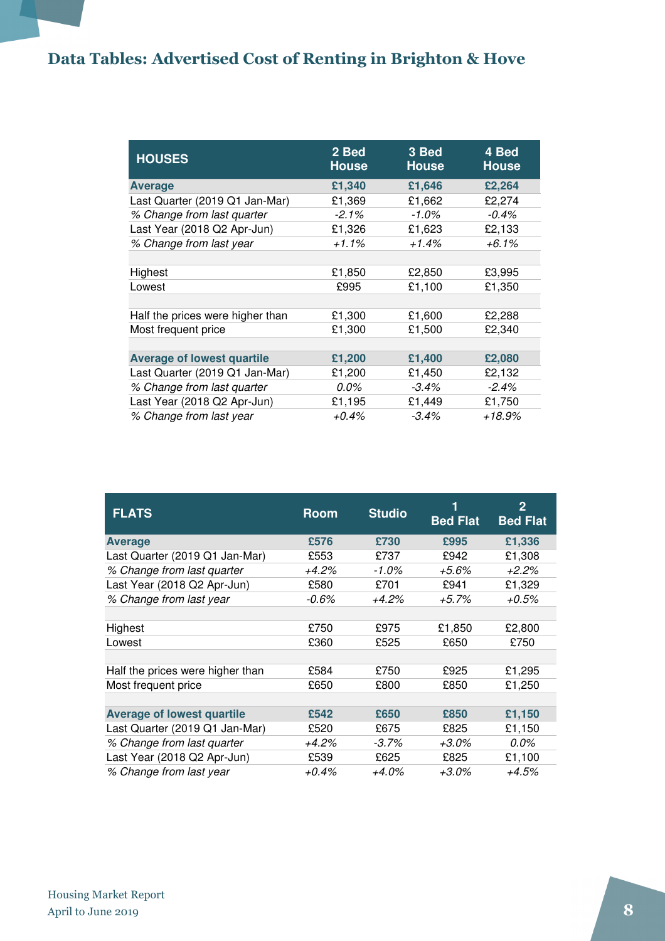## Data Tables: Advertised Cost of Renting in Brighton & Hove

| <b>HOUSES</b>                     | 2 Bed<br><b>House</b> | 3 Bed<br><b>House</b> | 4 Bed<br><b>House</b> |
|-----------------------------------|-----------------------|-----------------------|-----------------------|
| <b>Average</b>                    | £1,340                | £1,646                | £2,264                |
| Last Quarter (2019 Q1 Jan-Mar)    | £1,369                | £1,662                | £2,274                |
| % Change from last quarter        | $-2.1%$               | $-1.0\%$              | $-0.4%$               |
| Last Year (2018 Q2 Apr-Jun)       | £1,326                | £1,623                | £2,133                |
| % Change from last year           | $+1.1%$               | $+1.4%$               | $+6.1%$               |
|                                   |                       |                       |                       |
| Highest                           | £1,850                | £2,850                | £3,995                |
| Lowest                            | £995                  | £1,100                | £1,350                |
|                                   |                       |                       |                       |
| Half the prices were higher than  | £1,300                | £1,600                | £2,288                |
| Most frequent price               | £1,300                | £1,500                | £2,340                |
|                                   |                       |                       |                       |
| <b>Average of lowest quartile</b> | £1,200                | £1,400                | £2,080                |
| Last Quarter (2019 Q1 Jan-Mar)    | £1,200                | £1,450                | £2,132                |
| % Change from last quarter        | 0.0%                  | $-3.4%$               | $-2.4%$               |
| Last Year (2018 Q2 Apr-Jun)       | £1,195                | £1,449                | £1,750                |
| % Change from last year           | $+0.4\%$              | $-3.4\%$              | +18.9%                |

| <b>FLATS</b>                      | <b>Room</b> | <b>Studio</b> | <b>Bed Flat</b> | $\overline{2}$<br><b>Bed Flat</b> |
|-----------------------------------|-------------|---------------|-----------------|-----------------------------------|
| <b>Average</b>                    | £576        | £730          | £995            | £1,336                            |
| Last Quarter (2019 Q1 Jan-Mar)    | £553        | £737          | £942            | £1,308                            |
| % Change from last quarter        | $+4.2%$     | $-1.0\%$      | +5.6%           | $+2.2\%$                          |
| Last Year (2018 Q2 Apr-Jun)       | £580        | £701          | £941            | £1,329                            |
| % Change from last year           | $-0.6\%$    | +4.2%         | +5.7%           | $+0.5%$                           |
|                                   |             |               |                 |                                   |
| Highest                           | £750        | £975          | £1,850          | £2,800                            |
| Lowest                            | £360        | £525          | £650            | £750                              |
|                                   |             |               |                 |                                   |
| Half the prices were higher than  | £584        | £750          | £925            | £1,295                            |
| Most frequent price               | £650        | £800          | £850            | £1,250                            |
|                                   |             |               |                 |                                   |
| <b>Average of lowest quartile</b> | £542        | £650          | £850            | £1,150                            |
| Last Quarter (2019 Q1 Jan-Mar)    | £520        | £675          | £825            | £1,150                            |
| % Change from last quarter        | +4.2%       | $-3.7\%$      | +3.0%           | 0.0%                              |
| Last Year (2018 Q2 Apr-Jun)       | £539        | £625          | £825            | £1,100                            |
| % Change from last year           | $+0.4%$     | $+4.0\%$      | +3.0%           | +4.5%                             |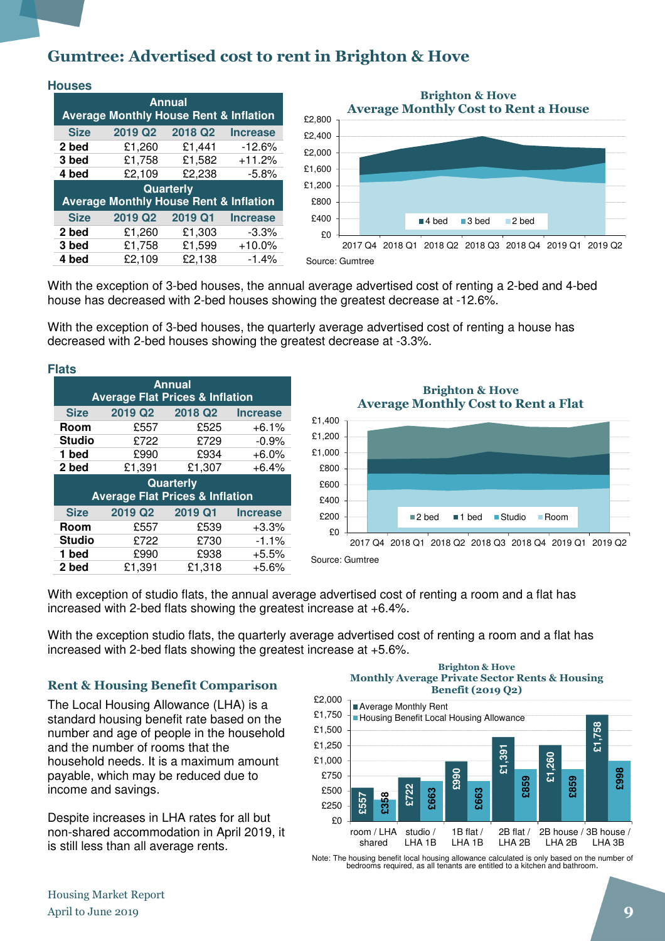### Gumtree: Advertised cost to rent in Brighton & Hove

| <b>Annual</b><br><b>Average Monthly House Rent &amp; Inflation</b> |                                                   |         |                 |  |  |  |
|--------------------------------------------------------------------|---------------------------------------------------|---------|-----------------|--|--|--|
| <b>Size</b>                                                        | 2019 Q2                                           | 2018 Q2 | <b>Increase</b> |  |  |  |
| 2 bed                                                              | £1,260                                            | £1,441  | $-12.6%$        |  |  |  |
| 3 bed                                                              | £1,758                                            | £1,582  | $+11.2%$        |  |  |  |
| 4 bed                                                              | £2,109                                            | £2,238  | $-5.8%$         |  |  |  |
| <b>Quarterly</b>                                                   |                                                   |         |                 |  |  |  |
|                                                                    | <b>Average Monthly House Rent &amp; Inflation</b> |         |                 |  |  |  |
| <b>Size</b>                                                        | 2019 Q2                                           | 2019 Q1 | <b>Increase</b> |  |  |  |
| 2 bed                                                              | £1,260                                            | £1,303  | $-3.3%$         |  |  |  |
| 3 bed                                                              | £1,758                                            | £1,599  | $+10.0%$        |  |  |  |
| 4 bed                                                              | £2,109                                            | £2,138  | $-1.4%$         |  |  |  |



With the exception of 3-bed houses, the annual average advertised cost of renting a 2-bed and 4-bed house has decreased with 2-bed houses showing the greatest decrease at -12.6%.

With the exception of 3-bed houses, the quarterly average advertised cost of renting a house has decreased with 2-bed houses showing the greatest decrease at -3.3%.

| Flats                                      |                                            |         |                 |  |  |  |  |
|--------------------------------------------|--------------------------------------------|---------|-----------------|--|--|--|--|
|                                            | <b>Annual</b>                              |         |                 |  |  |  |  |
| <b>Average Flat Prices &amp; Inflation</b> |                                            |         |                 |  |  |  |  |
| <b>Size</b>                                | 2019 Q <sub>2</sub>                        | 2018 Q2 | <b>Increase</b> |  |  |  |  |
| Room                                       | £557                                       | £525    | $+6.1%$         |  |  |  |  |
| <b>Studio</b>                              | £722                                       | £729    | $-0.9%$         |  |  |  |  |
| 1 bed                                      | £990                                       | £934    | $+6.0%$         |  |  |  |  |
| 2 bed                                      | £1,391                                     | £1,307  | $+6.4%$         |  |  |  |  |
| <b>Quarterly</b>                           |                                            |         |                 |  |  |  |  |
|                                            | <b>Average Flat Prices &amp; Inflation</b> |         |                 |  |  |  |  |
| <b>Size</b>                                | 2019 Q <sub>2</sub>                        | 2019 Q1 | <b>Increase</b> |  |  |  |  |
| Room                                       | £557                                       | £539    | $+3.3%$         |  |  |  |  |
| <b>Studio</b>                              | £722                                       | £730    | $-1.1%$         |  |  |  |  |
| 1 bed                                      | £990                                       | £938    | $+5.5%$         |  |  |  |  |
| 2 bed                                      | £1,391                                     | £1,318  | $+5.6%$         |  |  |  |  |



With exception of studio flats, the annual average advertised cost of renting a room and a flat has increased with 2-bed flats showing the greatest increase at +6.4%.

With the exception studio flats, the quarterly average advertised cost of renting a room and a flat has increased with 2-bed flats showing the greatest increase at +5.6%.

#### Rent & Housing Benefit Comparison

The Local Housing Allowance (LHA) is a standard housing benefit rate based on the number and age of people in the household and the number of rooms that the household needs. It is a maximum amount payable, which may be reduced due to income and savings.

Despite increases in LHA rates for all but non-shared accommodation in April 2019, it is still less than all average rents.

#### Brighton & Hove Monthly Average Private Sector Rents & Housing Benefit (2019 Q2)



Note: The housing benefit local housing allowance calculated is only based on the number of bedrooms required, as all tenants are entitled to a kitchen and bathroom.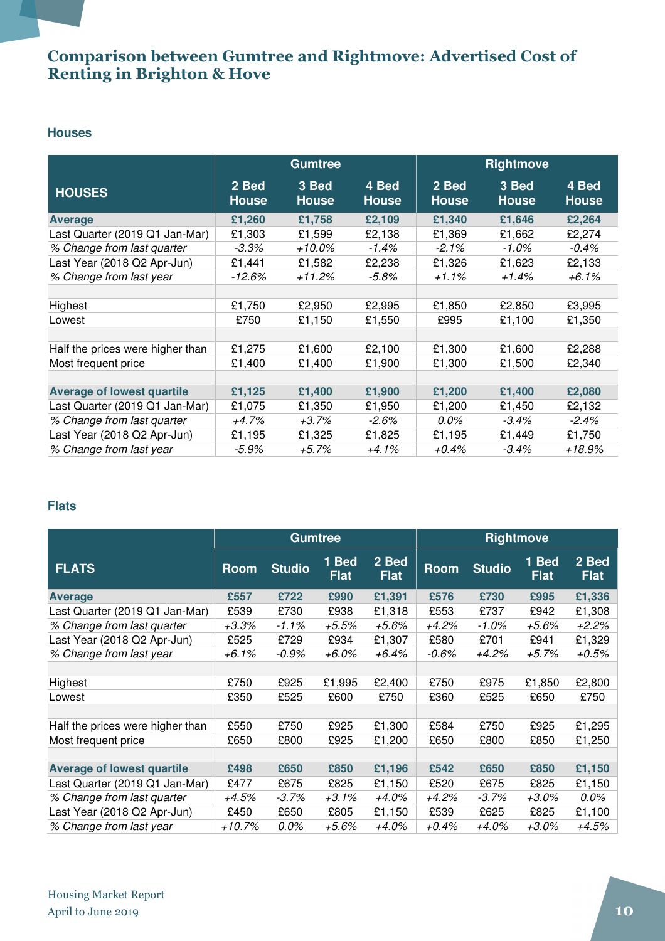### Comparison between Gumtree and Rightmove: Advertised Cost of Renting in Brighton & Hove

#### **Houses**

|                                   |                       | <b>Gumtree</b>        |                       | <b>Rightmove</b>      |                       |                       |
|-----------------------------------|-----------------------|-----------------------|-----------------------|-----------------------|-----------------------|-----------------------|
| <b>HOUSES</b>                     | 2 Bed<br><b>House</b> | 3 Bed<br><b>House</b> | 4 Bed<br><b>House</b> | 2 Bed<br><b>House</b> | 3 Bed<br><b>House</b> | 4 Bed<br><b>House</b> |
| Average                           | £1,260                | £1,758                | £2,109                | £1,340                | £1,646                | £2,264                |
| Last Quarter (2019 Q1 Jan-Mar)    | £1,303                | £1,599                | £2,138                | £1,369                | £1,662                | £2,274                |
| % Change from last quarter        | $-3.3\%$              | +10.0%                | $-1.4\%$              | $-2.1\%$              | $-1.0\%$              | $-0.4%$               |
| Last Year (2018 Q2 Apr-Jun)       | £1,441                | £1,582                | £2,238                | £1,326                | £1,623                | £2,133                |
| % Change from last year           | -12.6%                | $+11.2%$              | $-5.8\%$              | $+1.1\%$              | $+1.4\%$              | $+6.1\%$              |
|                                   |                       |                       |                       |                       |                       |                       |
| Highest                           | £1,750                | £2,950                | £2,995                | £1,850                | £2,850                | £3,995                |
| Lowest                            | £750                  | £1,150                | £1,550                | £995                  | £1,100                | £1,350                |
|                                   |                       |                       |                       |                       |                       |                       |
| Half the prices were higher than  | £1,275                | £1,600                | £2,100                | £1,300                | £1,600                | £2,288                |
| Most frequent price               | £1,400                | £1,400                | £1,900                | £1,300                | £1,500                | £2,340                |
|                                   |                       |                       |                       |                       |                       |                       |
| <b>Average of lowest quartile</b> | £1,125                | £1,400                | £1,900                | £1,200                | £1,400                | £2,080                |
| Last Quarter (2019 Q1 Jan-Mar)    | £1,075                | £1,350                | £1,950                | £1,200                | £1,450                | £2,132                |
| % Change from last quarter        | +4.7%                 | $+3.7%$               | $-2.6\%$              | $0.0\%$               | $-3.4\%$              | $-2.4\%$              |
| Last Year (2018 Q2 Apr-Jun)       | £1,195                | £1,325                | £1,825                | £1,195                | £1,449                | £1,750                |
| % Change from last year           | $-5.9\%$              | +5.7%                 | +4.1%                 | $+0.4\%$              | $-3.4\%$              | +18.9%                |

#### **Flats**

|                                   | <b>Gumtree</b> |               |                      |                      | <b>Rightmove</b> |               |                      |                      |
|-----------------------------------|----------------|---------------|----------------------|----------------------|------------------|---------------|----------------------|----------------------|
| <b>FLATS</b>                      | Room           | <b>Studio</b> | 1 Bed<br><b>Flat</b> | 2 Bed<br><b>Flat</b> | <b>Room</b>      | <b>Studio</b> | 1 Bed<br><b>Flat</b> | 2 Bed<br><b>Flat</b> |
| <b>Average</b>                    | £557           | £722          | £990                 | £1,391               | £576             | £730          | £995                 | £1,336               |
| Last Quarter (2019 Q1 Jan-Mar)    | £539           | £730          | £938                 | £1,318               | £553             | £737          | £942                 | £1,308               |
| % Change from last quarter        | $+3.3\%$       | $-1.1\%$      | +5.5%                | +5.6%                | $+4.2%$          | $-1.0%$       | +5.6%                | +2.2%                |
| Last Year (2018 Q2 Apr-Jun)       | £525           | £729          | £934                 | £1,307               | £580             | £701          | £941                 | £1,329               |
| % Change from last year           | +6.1%          | -0.9%         | +6.0%                | +6.4%                | -0.6%            | +4.2%         | +5.7%                | +0.5%                |
|                                   |                |               |                      |                      |                  |               |                      |                      |
| Highest                           | £750           | £925          | £1,995               | £2,400               | £750             | £975          | £1,850               | £2,800               |
| Lowest                            | £350           | £525          | £600                 | £750                 | £360             | £525          | £650                 | £750                 |
|                                   |                |               |                      |                      |                  |               |                      |                      |
| Half the prices were higher than  | £550           | £750          | £925                 | £1,300               | £584             | £750          | £925                 | £1,295               |
| Most frequent price               | £650           | £800          | £925                 | £1,200               | £650             | £800          | £850                 | £1,250               |
|                                   |                |               |                      |                      |                  |               |                      |                      |
| <b>Average of lowest quartile</b> | £498           | £650          | £850                 | £1,196               | £542             | £650          | £850                 | £1,150               |
| Last Quarter (2019 Q1 Jan-Mar)    | £477           | £675          | £825                 | £1,150               | £520             | £675          | £825                 | £1,150               |
| % Change from last quarter        | +4.5%          | -3.7%         | $+3.1\%$             | +4.0%                | +4.2%            | $-3.7\%$      | $+3.0\%$             | 0.0%                 |
| Last Year (2018 Q2 Apr-Jun)       | £450           | £650          | £805                 | £1,150               | £539             | £625          | £825                 | £1,100               |
| % Change from last year           | +10.7%         | 0.0%          | +5.6%                | +4.0%                | $+0.4\%$         | $+4.0\%$      | $+3.0\%$             | +4.5%                |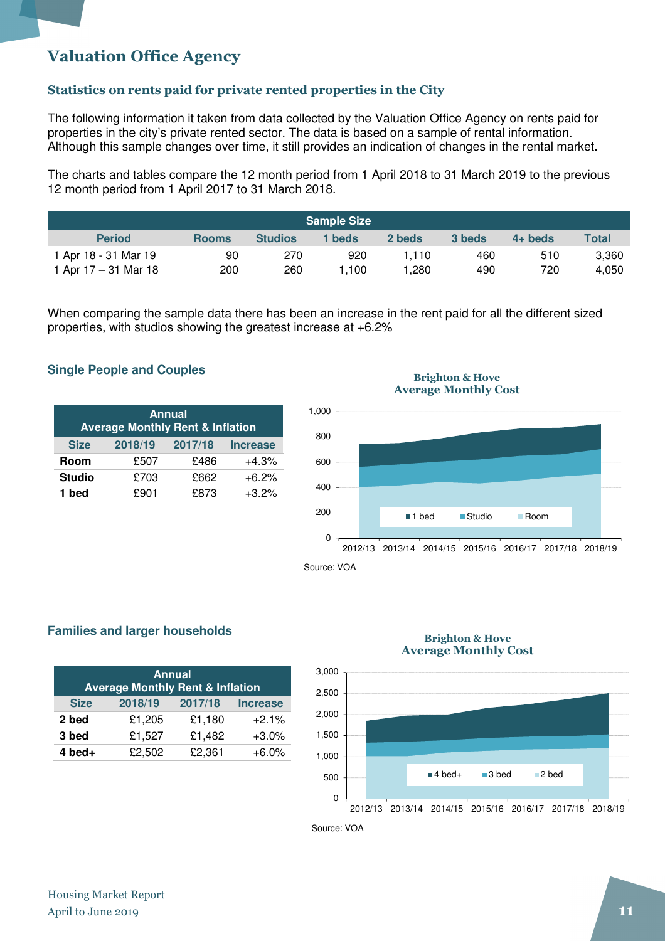### Valuation Office Agency

### Statistics on rents paid for private rented properties in the City

The following information it taken from data collected by the Valuation Office Agency on rents paid for properties in the city's private rented sector. The data is based on a sample of rental information. Although this sample changes over time, it still provides an indication of changes in the rental market.

The charts and tables compare the 12 month period from 1 April 2018 to 31 March 2019 to the previous 12 month period from 1 April 2017 to 31 March 2018.

| <b>Sample Size</b>   |              |                |        |        |        |           |              |  |
|----------------------|--------------|----------------|--------|--------|--------|-----------|--------------|--|
| <b>Period</b>        | <b>Rooms</b> | <b>Studios</b> | 1 beds | 2 beds | 3 beds | $4+$ beds | <b>Total</b> |  |
| 1 Apr 18 - 31 Mar 19 | 90           | 270            | 920    | 1.110  | 460    | 510       | 3,360        |  |
| 1 Apr 17 – 31 Mar 18 | 200          | 260            | l.100  | .280   | 490    | 720       | 4,050        |  |

When comparing the sample data there has been an increase in the rent paid for all the different sized properties, with studios showing the greatest increase at +6.2%

#### **Single People and Couples**

| <b>Annual</b><br><b>Average Monthly Rent &amp; Inflation</b> |         |         |                 |  |  |  |
|--------------------------------------------------------------|---------|---------|-----------------|--|--|--|
| <b>Size</b>                                                  | 2018/19 | 2017/18 | <b>Increase</b> |  |  |  |
| <b>Room</b>                                                  | £507    | £486    | $+4.3%$         |  |  |  |
| <b>Studio</b>                                                | £703    | £662    | $+6.2%$         |  |  |  |
| 1 bed                                                        | £901    | £873    | $+3.2%$         |  |  |  |

Brighton & Hove Average Monthly Cost



Source: VOA

#### **Families and larger households**

| <b>Annual</b><br><b>Average Monthly Rent &amp; Inflation</b> |         |         |                 |  |  |  |
|--------------------------------------------------------------|---------|---------|-----------------|--|--|--|
| <b>Size</b>                                                  | 2018/19 | 2017/18 | <b>Increase</b> |  |  |  |
| 2 bed                                                        | £1,205  | £1,180  | $+2.1%$         |  |  |  |
| 3 bed                                                        | £1,527  | £1,482  | $+3.0%$         |  |  |  |
| $4$ bed+                                                     | £2,502  | £2,361  | $+6.0%$         |  |  |  |

#### Brighton & Hove Average Monthly Cost



Source: VOA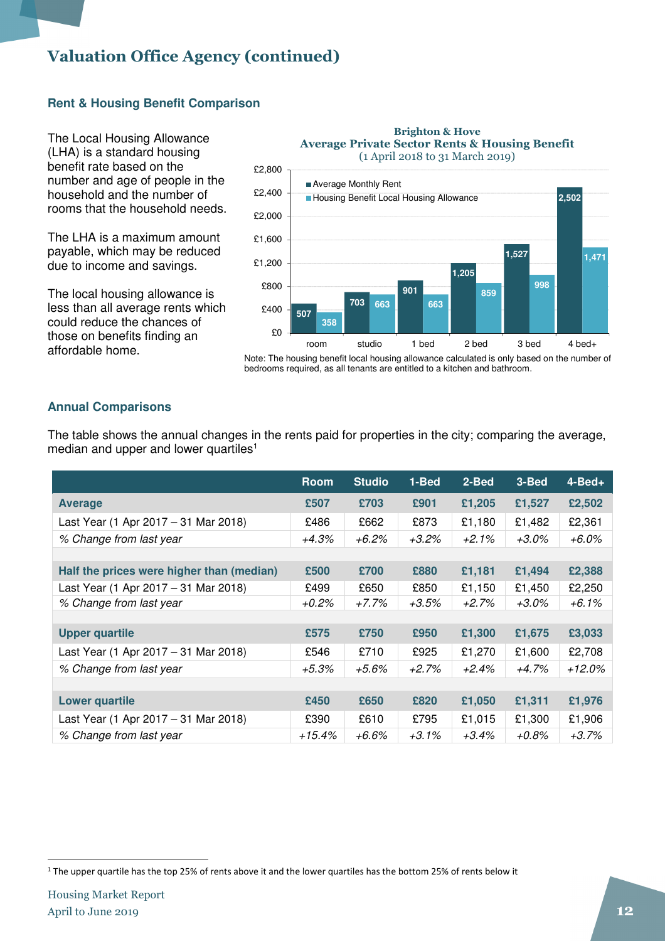#### **Rent & Housing Benefit Comparison**

The Local Housing Allowance (LHA) is a standard housing benefit rate based on the number and age of people in the household and the number of rooms that the household needs.

The LHA is a maximum amount payable, which may be reduced due to income and savings.

The local housing allowance is less than all average rents which could reduce the chances of those on benefits finding an affordable home.



Brighton & Hove

Note: The housing benefit local housing allowance calculated is only based on the number of bedrooms required, as all tenants are entitled to a kitchen and bathroom.

#### **Annual Comparisons**

The table shows the annual changes in the rents paid for properties in the city; comparing the average, median and upper and lower quartiles<sup>1</sup>

|                                           | <b>Room</b> | <b>Studio</b> | 1-Bed    | 2-Bed    | 3-Bed    | $4 - Bed +$ |
|-------------------------------------------|-------------|---------------|----------|----------|----------|-------------|
| <b>Average</b>                            | £507        | £703          | £901     | £1,205   | £1,527   | £2,502      |
| Last Year (1 Apr 2017 - 31 Mar 2018)      | £486        | £662          | £873     | £1,180   | £1,482   | £2,361      |
| % Change from last year                   | $+4.3%$     | +6.2%         | $+3.2%$  | $+2.1\%$ | +3.0%    | $+6.0\%$    |
|                                           |             |               |          |          |          |             |
| Half the prices were higher than (median) | £500        | £700          | £880     | £1,181   | £1,494   | £2,388      |
| Last Year (1 Apr 2017 - 31 Mar 2018)      | £499        | £650          | £850     | £1,150   | £1,450   | £2,250      |
| % Change from last year                   | $+0.2%$     | $+7.7\%$      | $+3.5\%$ | $+2.7%$  | $+3.0\%$ | $+6.1\%$    |
|                                           |             |               |          |          |          |             |
| <b>Upper quartile</b>                     | £575        | £750          | £950     | £1,300   | £1,675   | £3,033      |
| Last Year (1 Apr 2017 – 31 Mar 2018)      | £546        | £710          | £925     | £1,270   | £1,600   | £2,708      |
| % Change from last year                   | $+5.3\%$    | +5.6%         | $+2.7%$  | +2.4%    | $+4.7%$  | $+12.0\%$   |
|                                           |             |               |          |          |          |             |
| <b>Lower quartile</b>                     | £450        | £650          | £820     | £1,050   | £1,311   | £1,976      |
| Last Year (1 Apr 2017 – 31 Mar 2018)      | £390        | £610          | £795     | £1,015   | £1,300   | £1,906      |
| % Change from last year                   | +15.4%      | +6.6%         | $+3.1\%$ | +3.4%    | +0.8%    | $+3.7%$     |

 $\overline{\phantom{a}}$ 

<sup>&</sup>lt;sup>1</sup> The upper quartile has the top 25% of rents above it and the lower quartiles has the bottom 25% of rents below it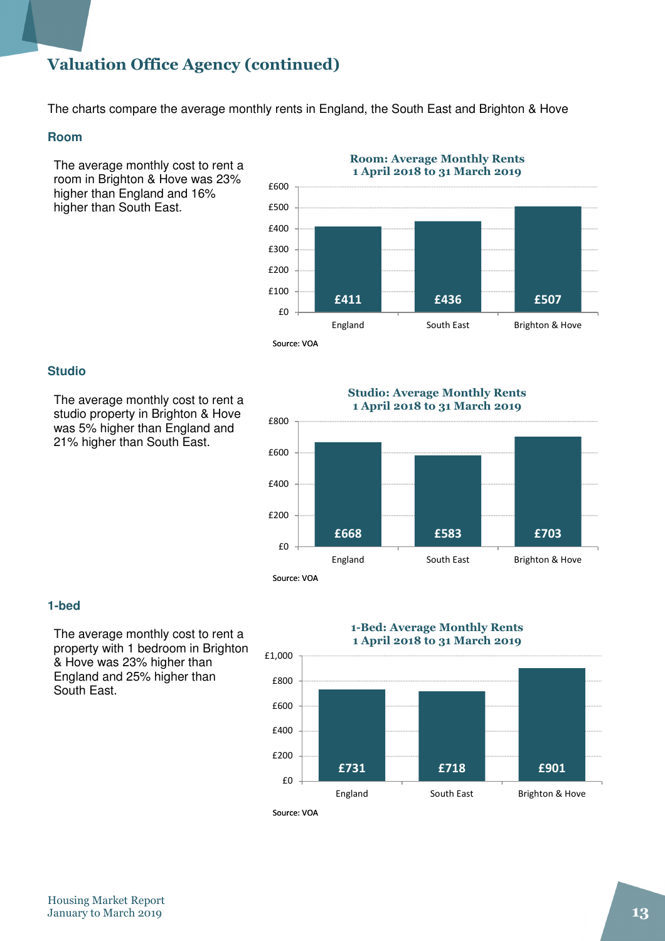The charts compare the average monthly rents in England, the South East and Brighton & Hove

#### **Room**

The average monthly cost to rent a room in Brighton & Hove was 23% higher than England and 16% higher than South East.



#### **Studio**

The average monthly cost to rent a studio property in Brighton & Hove was 5% higher than England and 21% higher than South East.

£668 £583 £703 £0 £200 £400 £600 £800 England South East Brighton & Hove Studio: Average Monthly Rents 1 April 2018 to 31 March 2019 Source: VOA

#### **1-bed**

The average monthly cost to rent a property with 1 bedroom in Brighton & Hove was 23% higher than England and 25% higher than South East.

#### 1-Bed: Average Monthly Rents 1 April 2018 to 31 March 2019

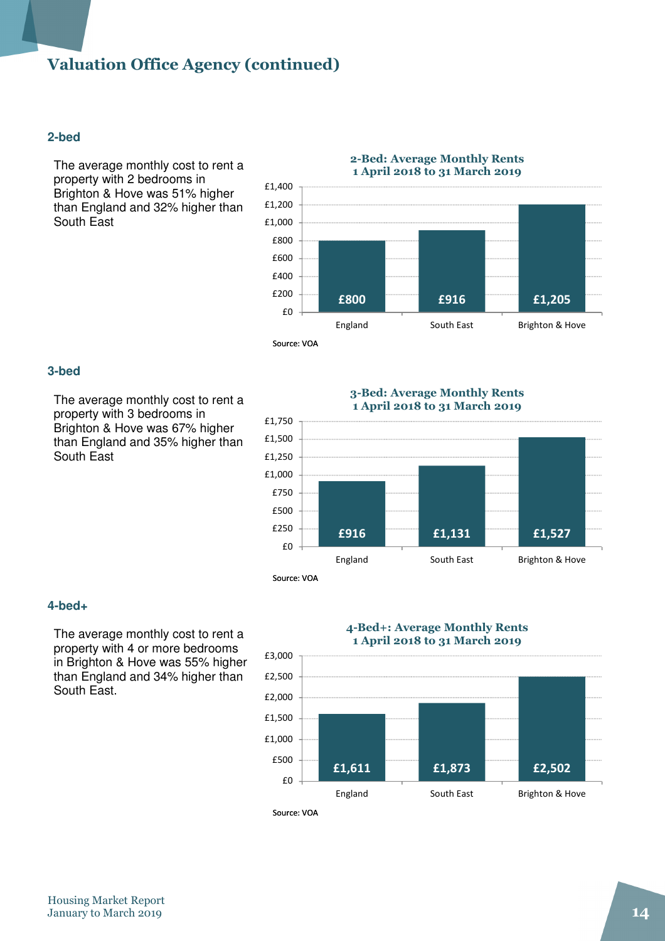#### **2-bed**

The average monthly cost to rent a property with 2 bedrooms in Brighton & Hove was 51% higher than England and 32% higher than South East



#### **3-bed**

The average monthly cost to rent a property with 3 bedrooms in Brighton & Hove was 67% higher than England and 35% higher than South East



#### **4-bed+**

The average monthly cost to rent a property with 4 or more bedrooms in Brighton & Hove was 55% higher than England and 34% higher than South East.





Source: VOA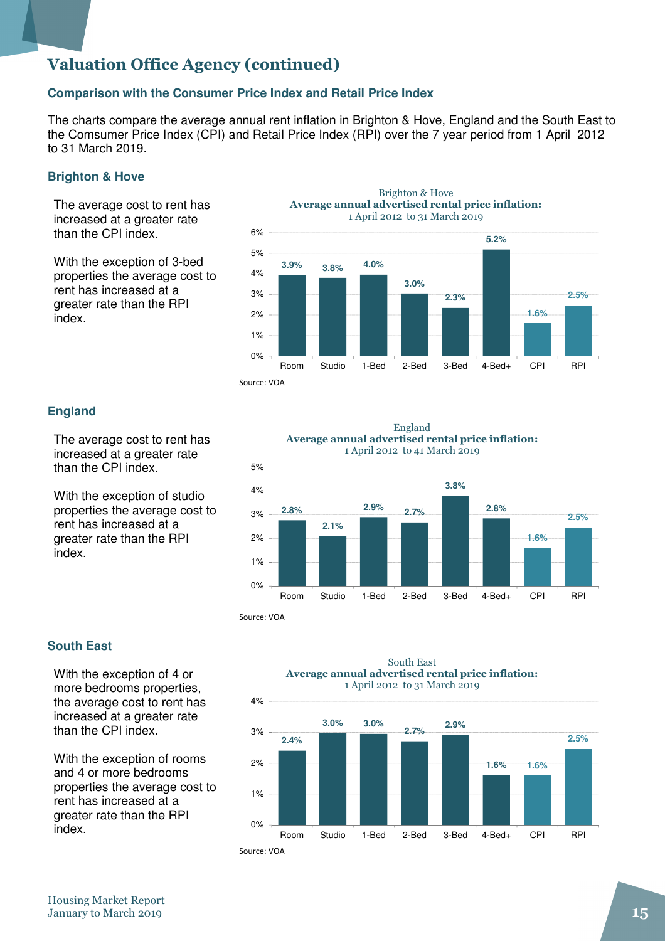### **Comparison with the Consumer Price Index and Retail Price Index**

The charts compare the average annual rent inflation in Brighton & Hove, England and the South East to the Comsumer Price Index (CPI) and Retail Price Index (RPI) over the 7 year period from 1 April 2012 to 31 March 2019.

#### **Brighton & Hove**

The average cost to rent has increased at a greater rate than the CPI index.

With the exception of 3-bed properties the average cost to rent has increased at a greater rate than the RPI index.



### **England**

The average cost to rent has increased at a greater rate than the CPI index.

With the exception of studio properties the average cost to rent has increased at a greater rate than the RPI index.

#### England Average annual advertised rental price inflation: 1 April 2012 to 41 March 2019



### **South East**

With the exception of 4 or more bedrooms properties, the average cost to rent has increased at a greater rate than the CPI index.

With the exception of rooms and 4 or more bedrooms properties the average cost to rent has increased at a greater rate than the RPI index.



Housing Market Report January to March 2019